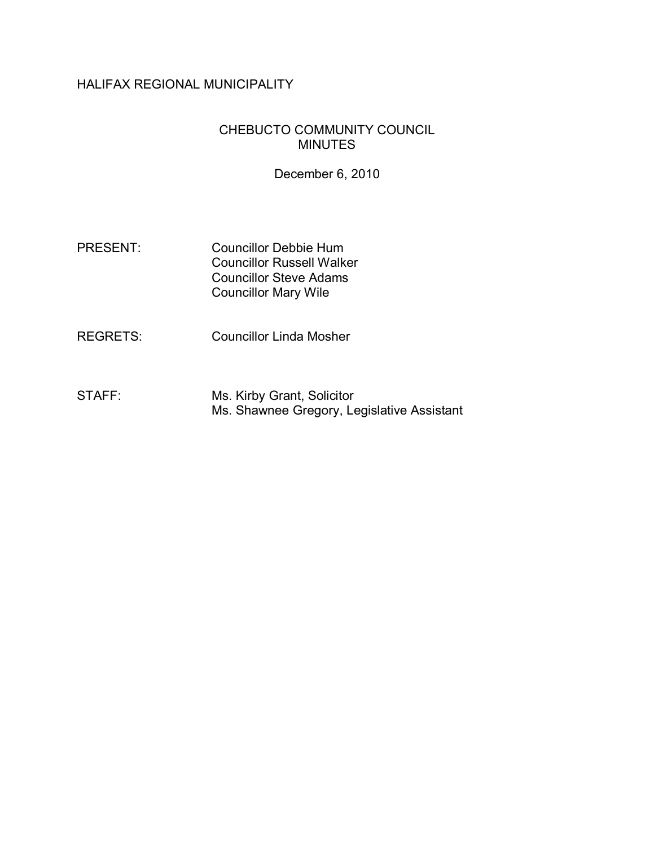# HALIFAX REGIONAL MUNICIPALITY

### CHEBUCTO COMMUNITY COUNCIL MINUTES

December 6, 2010

- PRESENT: Councillor Debbie Hum Councillor Russell Walker Councillor Steve Adams Councillor Mary Wile
- REGRETS: Councillor Linda Mosher
- STAFF: Ms. Kirby Grant, Solicitor Ms. Shawnee Gregory, Legislative Assistant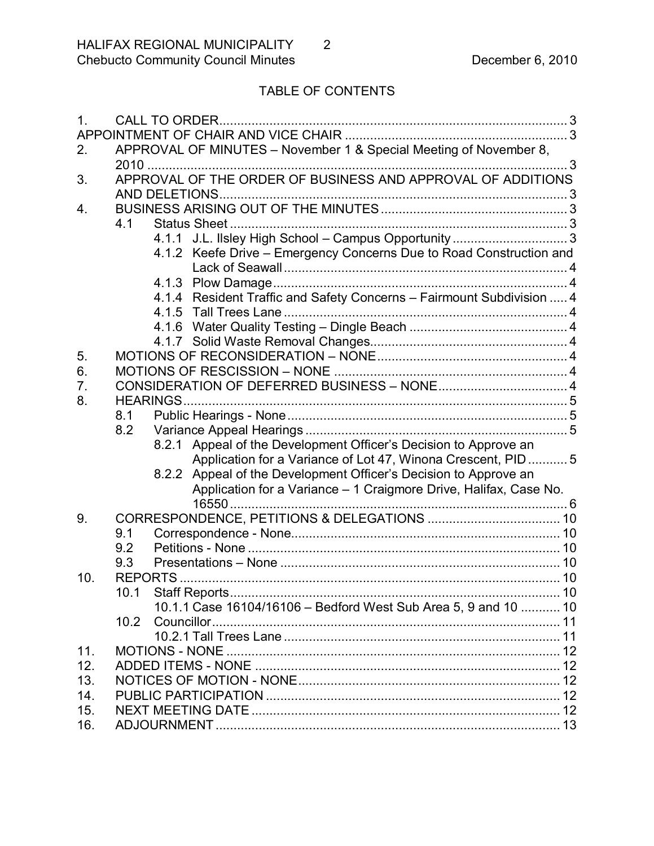# TABLE OF CONTENTS

| $\mathbf{1}$ . |                   |                                                                       |   |
|----------------|-------------------|-----------------------------------------------------------------------|---|
|                |                   |                                                                       |   |
| 2.             |                   | APPROVAL OF MINUTES - November 1 & Special Meeting of November 8,     |   |
|                |                   |                                                                       | 3 |
| 3.             |                   | APPROVAL OF THE ORDER OF BUSINESS AND APPROVAL OF ADDITIONS           |   |
|                |                   |                                                                       |   |
| 4.             |                   |                                                                       |   |
|                | 4.1               |                                                                       |   |
|                |                   |                                                                       |   |
|                |                   | 4.1.2 Keefe Drive - Emergency Concerns Due to Road Construction and   |   |
|                |                   |                                                                       |   |
|                |                   |                                                                       |   |
|                |                   | 4.1.4 Resident Traffic and Safety Concerns - Fairmount Subdivision  4 |   |
|                |                   |                                                                       |   |
|                |                   |                                                                       |   |
|                |                   |                                                                       |   |
| 5.             |                   |                                                                       |   |
| 6.             |                   |                                                                       |   |
| 7.             |                   |                                                                       |   |
| 8.             |                   | <b>HEARINGS</b>                                                       |   |
|                | 8.1               |                                                                       |   |
|                | 8.2               |                                                                       |   |
|                |                   | 8.2.1 Appeal of the Development Officer's Decision to Approve an      |   |
|                |                   | Application for a Variance of Lot 47, Winona Crescent, PID  5         |   |
|                |                   | 8.2.2 Appeal of the Development Officer's Decision to Approve an      |   |
|                |                   | Application for a Variance - 1 Craigmore Drive, Halifax, Case No.     |   |
|                |                   | $16550$                                                               |   |
| 9.             |                   |                                                                       |   |
|                | 9.1               |                                                                       |   |
|                | 9.2               |                                                                       |   |
|                | 9.3               |                                                                       |   |
| 10.            |                   |                                                                       |   |
|                | 10.1              |                                                                       |   |
|                |                   | 10.1.1 Case 16104/16106 - Bedford West Sub Area 5, 9 and 10  10       |   |
|                | 10.2 <sub>2</sub> |                                                                       |   |
|                |                   |                                                                       |   |
| 11.            |                   |                                                                       |   |
| 12.            |                   |                                                                       |   |
| 13.            |                   |                                                                       |   |
| 14.            |                   |                                                                       |   |
| 15.            |                   |                                                                       |   |
| 16.            |                   |                                                                       |   |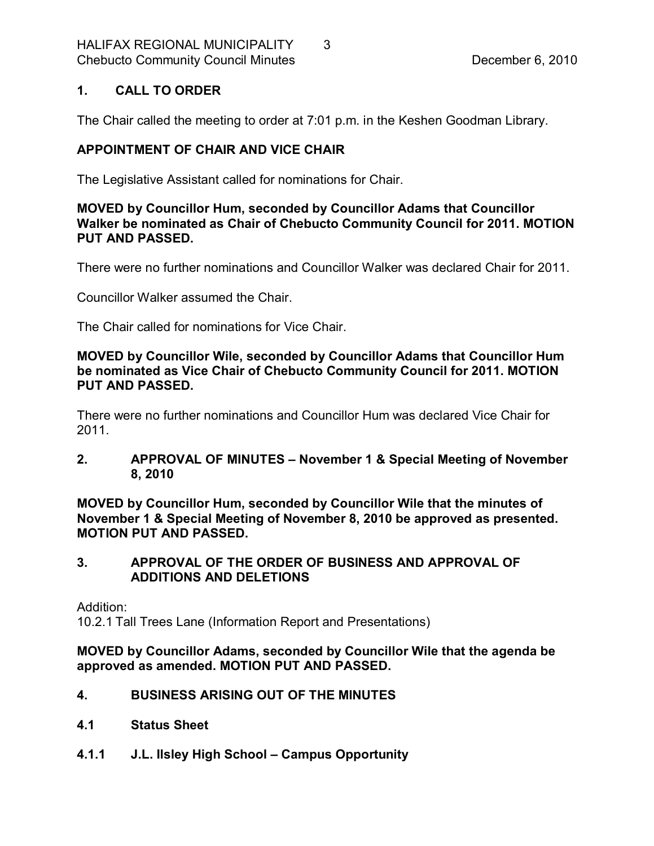#### <span id="page-2-0"></span>**1. CALL TO ORDER**

The Chair called the meeting to order at 7:01 p.m. in the Keshen Goodman Library.

### <span id="page-2-1"></span>**APPOINTMENT OF CHAIR AND VICE CHAIR**

The Legislative Assistant called for nominations for Chair.

### **MOVED by Councillor Hum, seconded by Councillor Adams that Councillor Walker be nominated as Chair of Chebucto Community Council for 2011. MOTION PUT AND PASSED.**

There were no further nominations and Councillor Walker was declared Chair for 2011.

Councillor Walker assumed the Chair.

The Chair called for nominations for Vice Chair.

**MOVED by Councillor Wile, seconded by Councillor Adams that Councillor Hum be nominated as Vice Chair of Chebucto Community Council for 2011. MOTION PUT AND PASSED.**

There were no further nominations and Councillor Hum was declared Vice Chair for 2011.

#### <span id="page-2-2"></span>**2. APPROVAL OF MINUTES – November 1 & Special Meeting of November 8, 2010**

**MOVED by Councillor Hum, seconded by Councillor Wile that the minutes of November 1 & Special Meeting of November 8, 2010 be approved as presented. MOTION PUT AND PASSED.** 

### <span id="page-2-3"></span>**3. APPROVAL OF THE ORDER OF BUSINESS AND APPROVAL OF ADDITIONS AND DELETIONS**

Addition:

10.2.1 Tall Trees Lane (Information Report and Presentations)

**MOVED by Councillor Adams, seconded by Councillor Wile that the agenda be approved as amended. MOTION PUT AND PASSED.** 

### <span id="page-2-4"></span>**4. BUSINESS ARISING OUT OF THE MINUTES**

- <span id="page-2-5"></span>**4.1 Status Sheet**
- <span id="page-2-6"></span>**4.1.1 J.L. Ilsley High School – Campus Opportunity**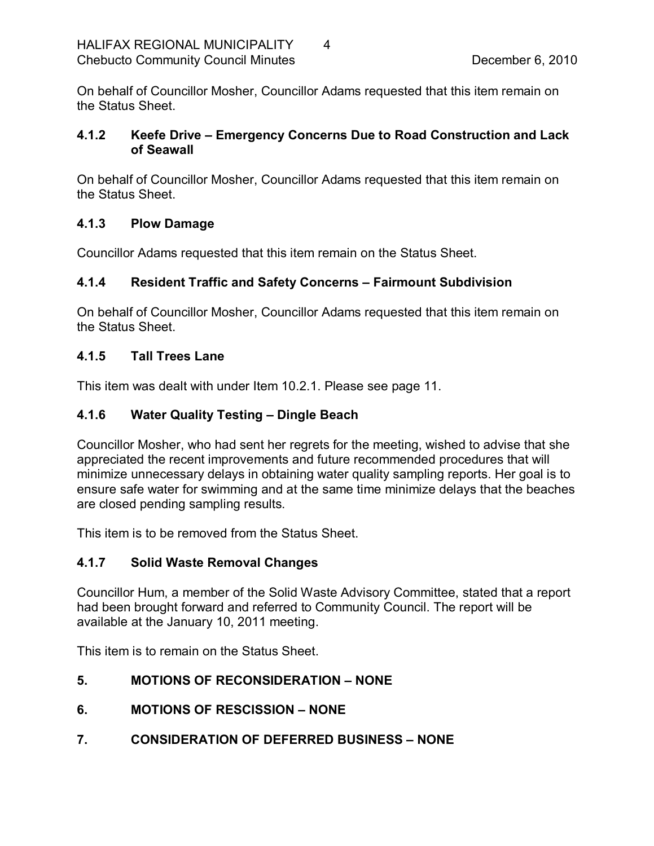On behalf of Councillor Mosher, Councillor Adams requested that this item remain on the Status Sheet.

### <span id="page-3-0"></span>**4.1.2 Keefe Drive – Emergency Concerns Due to Road Construction and Lack of Seawall**

On behalf of Councillor Mosher, Councillor Adams requested that this item remain on the Status Sheet.

### <span id="page-3-1"></span>**4.1.3 Plow Damage**

Councillor Adams requested that this item remain on the Status Sheet.

### <span id="page-3-2"></span>**4.1.4 Resident Traffic and Safety Concerns – Fairmount Subdivision**

On behalf of Councillor Mosher, Councillor Adams requested that this item remain on the Status Sheet.

### <span id="page-3-3"></span>**4.1.5 Tall Trees Lane**

This item was dealt with under Item 10.2.1. Please see page 11.

### <span id="page-3-4"></span>**4.1.6 Water Quality Testing – Dingle Beach**

Councillor Mosher, who had sent her regrets for the meeting, wished to advise that she appreciated the recent improvements and future recommended procedures that will minimize unnecessary delays in obtaining water quality sampling reports. Her goal is to ensure safe water for swimming and at the same time minimize delays that the beaches are closed pending sampling results.

This item is to be removed from the Status Sheet.

### <span id="page-3-5"></span>**4.1.7 Solid Waste Removal Changes**

Councillor Hum, a member of the Solid Waste Advisory Committee, stated that a report had been brought forward and referred to Community Council. The report will be available at the January 10, 2011 meeting.

This item is to remain on the Status Sheet.

### <span id="page-3-6"></span>**5. MOTIONS OF RECONSIDERATION – NONE**

- <span id="page-3-7"></span>**6. MOTIONS OF RESCISSION – NONE**
- <span id="page-3-8"></span>**7. CONSIDERATION OF DEFERRED BUSINESS – NONE**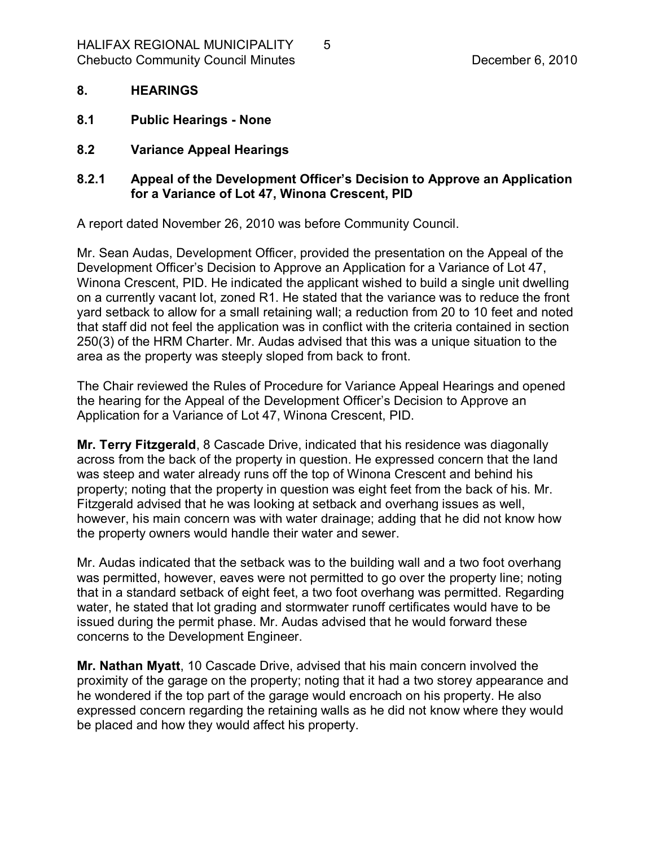#### <span id="page-4-0"></span>**8. HEARINGS**

- <span id="page-4-1"></span>**8.1 Public Hearings None**
- <span id="page-4-2"></span>**8.2 Variance Appeal Hearings**

#### <span id="page-4-3"></span>**8.2.1 Appeal of the Development Officer's Decision to Approve an Application for a Variance of Lot 47, Winona Crescent, PID**

A report dated November 26, 2010 was before Community Council.

Mr. Sean Audas, Development Officer, provided the presentation on the Appeal of the Development Officer's Decision to Approve an Application for a Variance of Lot 47, Winona Crescent, PID. He indicated the applicant wished to build a single unit dwelling on a currently vacant lot, zoned R1. He stated that the variance was to reduce the front yard setback to allow for a small retaining wall; a reduction from 20 to 10 feet and noted that staff did not feel the application was in conflict with the criteria contained in section 250(3) of the HRM Charter. Mr. Audas advised that this was a unique situation to the area as the property was steeply sloped from back to front.

The Chair reviewed the Rules of Procedure for Variance Appeal Hearings and opened the hearing for the Appeal of the Development Officer's Decision to Approve an Application for a Variance of Lot 47, Winona Crescent, PID.

**Mr. Terry Fitzgerald**, 8 Cascade Drive, indicated that his residence was diagonally across from the back of the property in question. He expressed concern that the land was steep and water already runs off the top of Winona Crescent and behind his property; noting that the property in question was eight feet from the back of his. Mr. Fitzgerald advised that he was looking at setback and overhang issues as well, however, his main concern was with water drainage; adding that he did not know how the property owners would handle their water and sewer.

Mr. Audas indicated that the setback was to the building wall and a two foot overhang was permitted, however, eaves were not permitted to go over the property line; noting that in a standard setback of eight feet, a two foot overhang was permitted. Regarding water, he stated that lot grading and stormwater runoff certificates would have to be issued during the permit phase. Mr. Audas advised that he would forward these concerns to the Development Engineer.

**Mr. Nathan Myatt**, 10 Cascade Drive, advised that his main concern involved the proximity of the garage on the property; noting that it had a two storey appearance and he wondered if the top part of the garage would encroach on his property. He also expressed concern regarding the retaining walls as he did not know where they would be placed and how they would affect his property.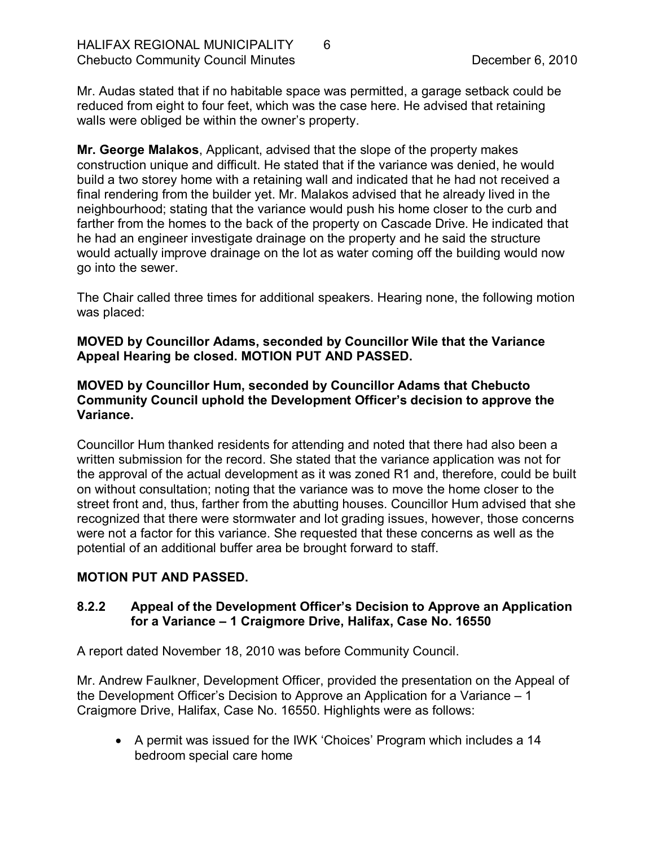Mr. Audas stated that if no habitable space was permitted, a garage setback could be reduced from eight to four feet, which was the case here. He advised that retaining walls were obliged be within the owner's property.

**Mr. George Malakos**, Applicant, advised that the slope of the property makes construction unique and difficult. He stated that if the variance was denied, he would build a two storey home with a retaining wall and indicated that he had not received a final rendering from the builder yet. Mr. Malakos advised that he already lived in the neighbourhood; stating that the variance would push his home closer to the curb and farther from the homes to the back of the property on Cascade Drive. He indicated that he had an engineer investigate drainage on the property and he said the structure would actually improve drainage on the lot as water coming off the building would now go into the sewer.

The Chair called three times for additional speakers. Hearing none, the following motion was placed:

**MOVED by Councillor Adams, seconded by Councillor Wile that the Variance Appeal Hearing be closed. MOTION PUT AND PASSED.** 

#### **MOVED by Councillor Hum, seconded by Councillor Adams that Chebucto Community Council uphold the Development Officer's decision to approve the Variance.**

Councillor Hum thanked residents for attending and noted that there had also been a written submission for the record. She stated that the variance application was not for the approval of the actual development as it was zoned R1 and, therefore, could be built on without consultation; noting that the variance was to move the home closer to the street front and, thus, farther from the abutting houses. Councillor Hum advised that she recognized that there were stormwater and lot grading issues, however, those concerns were not a factor for this variance. She requested that these concerns as well as the potential of an additional buffer area be brought forward to staff.

### **MOTION PUT AND PASSED.**

### <span id="page-5-0"></span>**8.2.2 Appeal of the Development Officer's Decision to Approve an Application for a Variance – 1 Craigmore Drive, Halifax, Case No. 16550**

A report dated November 18, 2010 was before Community Council.

Mr. Andrew Faulkner, Development Officer, provided the presentation on the Appeal of the Development Officer's Decision to Approve an Application for a Variance – 1 Craigmore Drive, Halifax, Case No. 16550. Highlights were as follows:

· A permit was issued for the IWK 'Choices' Program which includes a 14 bedroom special care home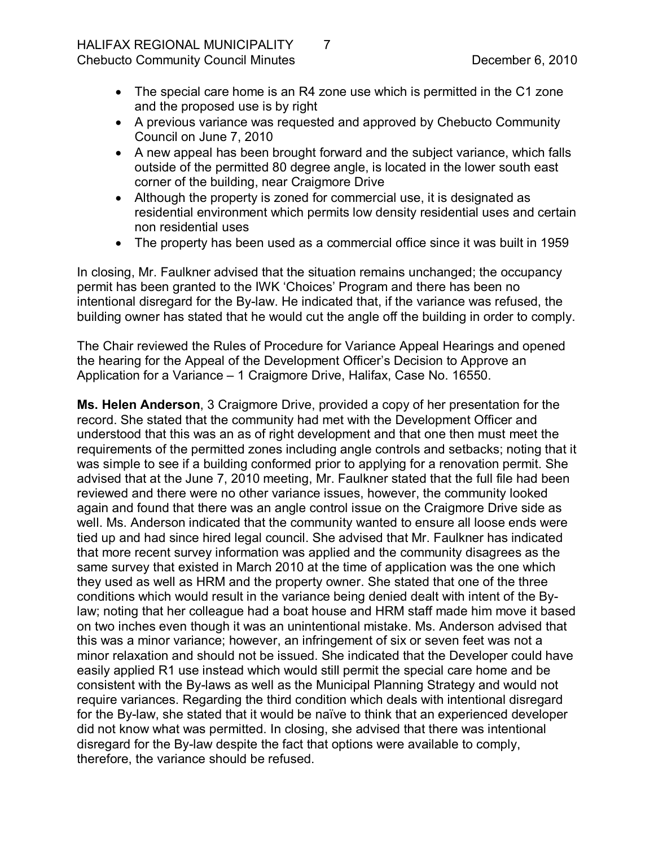- The special care home is an R4 zone use which is permitted in the C1 zone and the proposed use is by right
- · A previous variance was requested and approved by Chebucto Community Council on June 7, 2010
- · A new appeal has been brought forward and the subject variance, which falls outside of the permitted 80 degree angle, is located in the lower south east corner of the building, near Craigmore Drive
- Although the property is zoned for commercial use, it is designated as residential environment which permits low density residential uses and certain non residential uses
- · The property has been used as a commercial office since it was built in 1959

In closing, Mr. Faulkner advised that the situation remains unchanged; the occupancy permit has been granted to the IWK 'Choices' Program and there has been no intentional disregard for the By-law. He indicated that, if the variance was refused, the building owner has stated that he would cut the angle off the building in order to comply.

The Chair reviewed the Rules of Procedure for Variance Appeal Hearings and opened the hearing for the Appeal of the Development Officer's Decision to Approve an Application for a Variance – 1 Craigmore Drive, Halifax, Case No. 16550.

**Ms. Helen Anderson**, 3 Craigmore Drive, provided a copy of her presentation for the record. She stated that the community had met with the Development Officer and understood that this was an as of right development and that one then must meet the requirements of the permitted zones including angle controls and setbacks; noting that it was simple to see if a building conformed prior to applying for a renovation permit. She advised that at the June 7, 2010 meeting, Mr. Faulkner stated that the full file had been reviewed and there were no other variance issues, however, the community looked again and found that there was an angle control issue on the Craigmore Drive side as well. Ms. Anderson indicated that the community wanted to ensure all loose ends were tied up and had since hired legal council. She advised that Mr. Faulkner has indicated that more recent survey information was applied and the community disagrees as the same survey that existed in March 2010 at the time of application was the one which they used as well as HRM and the property owner. She stated that one of the three conditions which would result in the variance being denied dealt with intent of the By law; noting that her colleague had a boat house and HRM staff made him move it based on two inches even though it was an unintentional mistake. Ms. Anderson advised that this was a minor variance; however, an infringement of six or seven feet was not a minor relaxation and should not be issued. She indicated that the Developer could have easily applied R1 use instead which would still permit the special care home and be consistent with the By-laws as well as the Municipal Planning Strategy and would not require variances. Regarding the third condition which deals with intentional disregard for the By-law, she stated that it would be naïve to think that an experienced developer did not know what was permitted. In closing, she advised that there was intentional disregard for the By-law despite the fact that options were available to comply, therefore, the variance should be refused.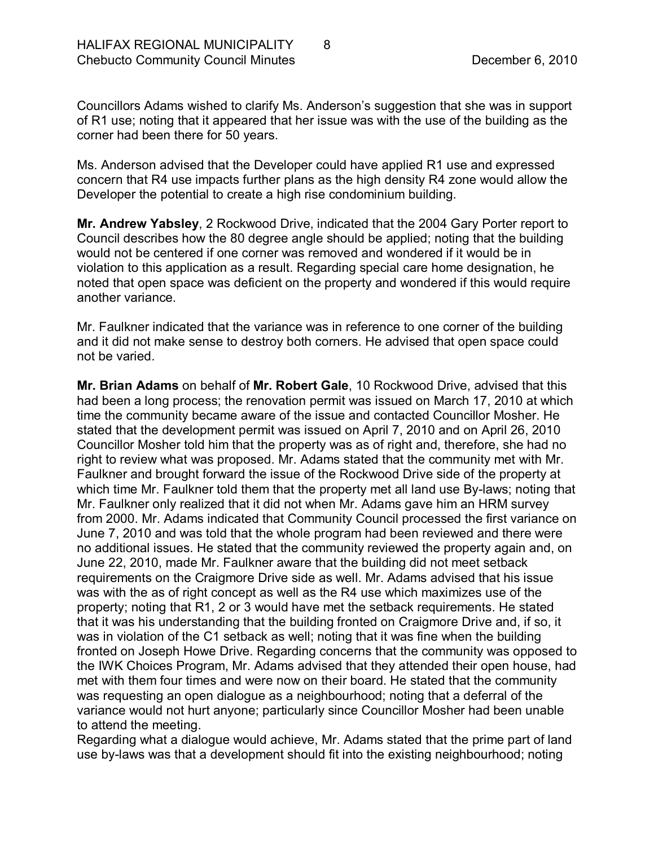Councillors Adams wished to clarify Ms. Anderson's suggestion that she was in support of R1 use; noting that it appeared that her issue was with the use of the building as the corner had been there for 50 years.

Ms. Anderson advised that the Developer could have applied R1 use and expressed concern that R4 use impacts further plans as the high density R4 zone would allow the Developer the potential to create a high rise condominium building.

**Mr. Andrew Yabsley**, 2 Rockwood Drive, indicated that the 2004 Gary Porter report to Council describes how the 80 degree angle should be applied; noting that the building would not be centered if one corner was removed and wondered if it would be in violation to this application as a result. Regarding special care home designation, he noted that open space was deficient on the property and wondered if this would require another variance.

Mr. Faulkner indicated that the variance was in reference to one corner of the building and it did not make sense to destroy both corners. He advised that open space could not be varied.

**Mr. Brian Adams** on behalf of **Mr. Robert Gale**, 10 Rockwood Drive, advised that this had been a long process; the renovation permit was issued on March 17, 2010 at which time the community became aware of the issue and contacted Councillor Mosher. He stated that the development permit was issued on April 7, 2010 and on April 26, 2010 Councillor Mosher told him that the property was as of right and, therefore, she had no right to review what was proposed. Mr. Adams stated that the community met with Mr. Faulkner and brought forward the issue of the Rockwood Drive side of the property at which time Mr. Faulkner told them that the property met all land use By-laws; noting that Mr. Faulkner only realized that it did not when Mr. Adams gave him an HRM survey from 2000. Mr. Adams indicated that Community Council processed the first variance on June 7, 2010 and was told that the whole program had been reviewed and there were no additional issues. He stated that the community reviewed the property again and, on June 22, 2010, made Mr. Faulkner aware that the building did not meet setback requirements on the Craigmore Drive side as well. Mr. Adams advised that his issue was with the as of right concept as well as the R4 use which maximizes use of the property; noting that R1, 2 or 3 would have met the setback requirements. He stated that it was his understanding that the building fronted on Craigmore Drive and, if so, it was in violation of the C1 setback as well; noting that it was fine when the building fronted on Joseph Howe Drive. Regarding concerns that the community was opposed to the IWK Choices Program, Mr. Adams advised that they attended their open house, had met with them four times and were now on their board. He stated that the community was requesting an open dialogue as a neighbourhood; noting that a deferral of the variance would not hurt anyone; particularly since Councillor Mosher had been unable to attend the meeting.

Regarding what a dialogue would achieve, Mr. Adams stated that the prime part of land use by-laws was that a development should fit into the existing neighbourhood; noting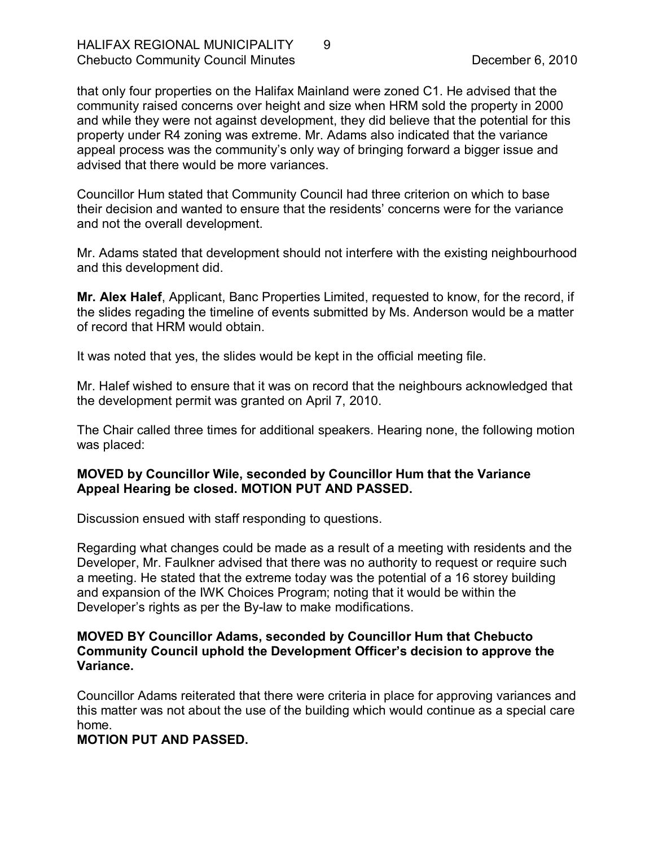that only four properties on the Halifax Mainland were zoned C1. He advised that the community raised concerns over height and size when HRM sold the property in 2000 and while they were not against development, they did believe that the potential for this property under R4 zoning was extreme. Mr. Adams also indicated that the variance appeal process was the community's only way of bringing forward a bigger issue and advised that there would be more variances.

Councillor Hum stated that Community Council had three criterion on which to base their decision and wanted to ensure that the residents' concerns were for the variance and not the overall development.

Mr. Adams stated that development should not interfere with the existing neighbourhood and this development did.

**Mr. Alex Halef**, Applicant, Banc Properties Limited, requested to know, for the record, if the slides regading the timeline of events submitted by Ms. Anderson would be a matter of record that HRM would obtain.

It was noted that yes, the slides would be kept in the official meeting file.

Mr. Halef wished to ensure that it was on record that the neighbours acknowledged that the development permit was granted on April 7, 2010.

The Chair called three times for additional speakers. Hearing none, the following motion was placed:

#### **MOVED by Councillor Wile, seconded by Councillor Hum that the Variance Appeal Hearing be closed. MOTION PUT AND PASSED.**

Discussion ensued with staff responding to questions.

Regarding what changes could be made as a result of a meeting with residents and the Developer, Mr. Faulkner advised that there was no authority to request or require such a meeting. He stated that the extreme today was the potential of a 16 storey building and expansion of the IWK Choices Program; noting that it would be within the Developer's rights as per the By-law to make modifications.

#### **MOVED BY Councillor Adams, seconded by Councillor Hum that Chebucto Community Council uphold the Development Officer's decision to approve the Variance.**

Councillor Adams reiterated that there were criteria in place for approving variances and this matter was not about the use of the building which would continue as a special care home.

### **MOTION PUT AND PASSED.**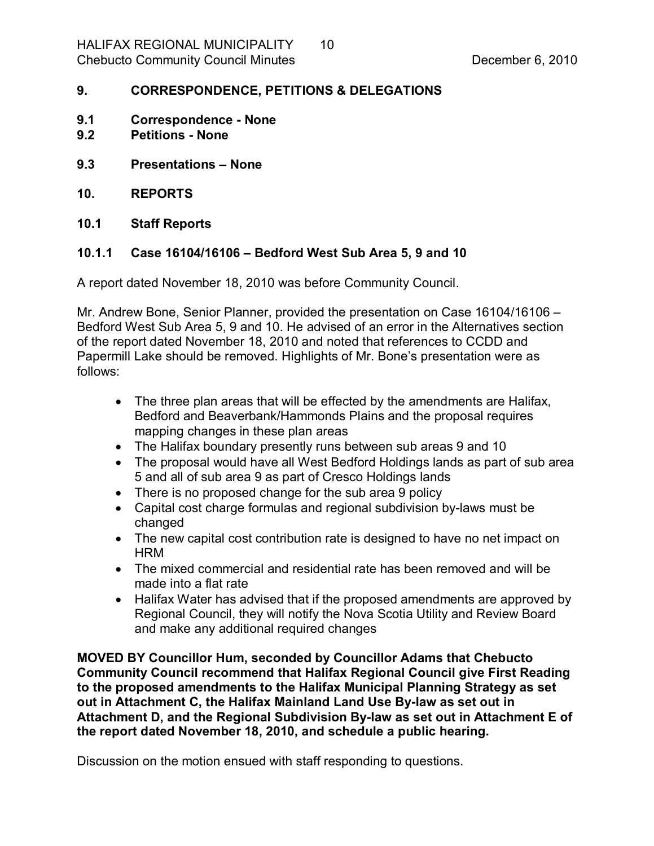#### <span id="page-9-0"></span>**9. CORRESPONDENCE, PETITIONS & DELEGATIONS**

- <span id="page-9-1"></span>**9.1 Correspondence None**
- <span id="page-9-2"></span>**9.2 Petitions None**
- <span id="page-9-3"></span>**9.3 Presentations – None**
- <span id="page-9-4"></span>**10. REPORTS**
- <span id="page-9-5"></span>**10.1 Staff Reports**

#### <span id="page-9-6"></span>**10.1.1 Case 16104/16106 – Bedford West Sub Area 5, 9 and 10**

A report dated November 18, 2010 was before Community Council.

Mr. Andrew Bone, Senior Planner, provided the presentation on Case 16104/16106 – Bedford West Sub Area 5, 9 and 10. He advised of an error in the Alternatives section of the report dated November 18, 2010 and noted that references to CCDD and Papermill Lake should be removed. Highlights of Mr. Bone's presentation were as follows:

- · The three plan areas that will be effected by the amendments are Halifax, Bedford and Beaverbank/Hammonds Plains and the proposal requires mapping changes in these plan areas
- · The Halifax boundary presently runs between sub areas 9 and 10
- The proposal would have all West Bedford Holdings lands as part of sub area 5 and all of sub area 9 as part of Cresco Holdings lands
- There is no proposed change for the sub area 9 policy
- Capital cost charge formulas and regional subdivision by-laws must be changed
- · The new capital cost contribution rate is designed to have no net impact on **HRM**
- · The mixed commercial and residential rate has been removed and will be made into a flat rate
- Halifax Water has advised that if the proposed amendments are approved by Regional Council, they will notify the Nova Scotia Utility and Review Board and make any additional required changes

**MOVED BY Councillor Hum, seconded by Councillor Adams that Chebucto Community Council recommend that Halifax Regional Council give First Reading to the proposed amendments to the Halifax Municipal Planning Strategy as set out in Attachment C, the Halifax Mainland Land Use Bylaw as set out in** Attachment D, and the Regional Subdivision By-law as set out in Attachment E of **the report dated November 18, 2010, and schedule a public hearing.**

Discussion on the motion ensued with staff responding to questions.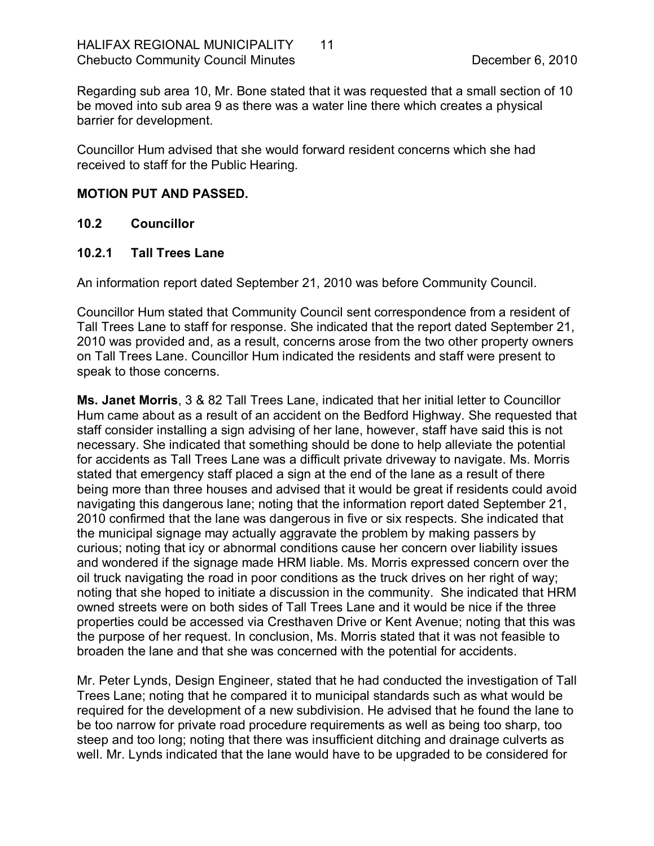Regarding sub area 10, Mr. Bone stated that it was requested that a small section of 10 be moved into sub area 9 as there was a water line there which creates a physical barrier for development.

Councillor Hum advised that she would forward resident concerns which she had received to staff for the Public Hearing.

#### **MOTION PUT AND PASSED.**

#### <span id="page-10-0"></span>**10.2 Councillor**

#### <span id="page-10-1"></span>**10.2.1 Tall Trees Lane**

An information report dated September 21, 2010 was before Community Council.

Councillor Hum stated that Community Council sent correspondence from a resident of Tall Trees Lane to staff for response. She indicated that the report dated September 21, 2010 was provided and, as a result, concerns arose from the two other property owners on Tall Trees Lane. Councillor Hum indicated the residents and staff were present to speak to those concerns.

**Ms. Janet Morris**, 3 & 82 Tall Trees Lane, indicated that her initial letter to Councillor Hum came about as a result of an accident on the Bedford Highway. She requested that staff consider installing a sign advising of her lane, however, staff have said this is not necessary. She indicated that something should be done to help alleviate the potential for accidents as Tall Trees Lane was a difficult private driveway to navigate. Ms. Morris stated that emergency staff placed a sign at the end of the lane as a result of there being more than three houses and advised that it would be great if residents could avoid navigating this dangerous lane; noting that the information report dated September 21, 2010 confirmed that the lane was dangerous in five or six respects. She indicated that the municipal signage may actually aggravate the problem by making passers by curious; noting that icy or abnormal conditions cause her concern over liability issues and wondered if the signage made HRM liable. Ms. Morris expressed concern over the oil truck navigating the road in poor conditions as the truck drives on her right of way; noting that she hoped to initiate a discussion in the community. She indicated that HRM owned streets were on both sides of Tall Trees Lane and it would be nice if the three properties could be accessed via Cresthaven Drive or Kent Avenue; noting that this was the purpose of her request. In conclusion, Ms. Morris stated that it was not feasible to broaden the lane and that she was concerned with the potential for accidents.

Mr. Peter Lynds, Design Engineer, stated that he had conducted the investigation of Tall Trees Lane; noting that he compared it to municipal standards such as what would be required for the development of a new subdivision. He advised that he found the lane to be too narrow for private road procedure requirements as well as being too sharp, too steep and too long; noting that there was insufficient ditching and drainage culverts as well. Mr. Lynds indicated that the lane would have to be upgraded to be considered for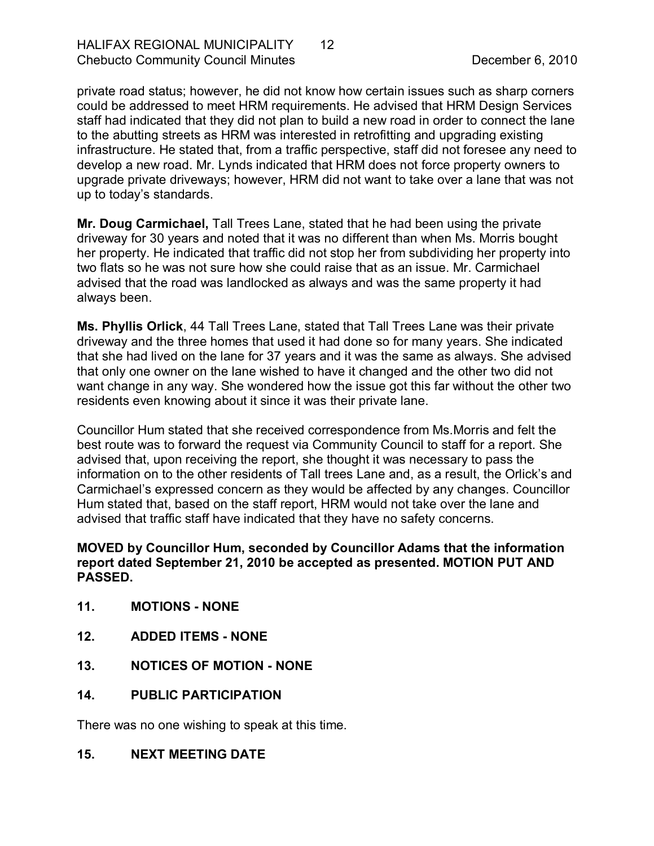private road status; however, he did not know how certain issues such as sharp corners could be addressed to meet HRM requirements. He advised that HRM Design Services staff had indicated that they did not plan to build a new road in order to connect the lane to the abutting streets as HRM was interested in retrofitting and upgrading existing infrastructure. He stated that, from a traffic perspective, staff did not foresee any need to develop a new road. Mr. Lynds indicated that HRM does not force property owners to upgrade private driveways; however, HRM did not want to take over a lane that was not up to today's standards.

**Mr. Doug Carmichael,** Tall Trees Lane, stated that he had been using the private driveway for 30 years and noted that it was no different than when Ms. Morris bought her property. He indicated that traffic did not stop her from subdividing her property into two flats so he was not sure how she could raise that as an issue. Mr. Carmichael advised that the road was landlocked as always and was the same property it had always been.

**Ms. Phyllis Orlick**, 44 Tall Trees Lane, stated that Tall Trees Lane was their private driveway and the three homes that used it had done so for many years. She indicated that she had lived on the lane for 37 years and it was the same as always. She advised that only one owner on the lane wished to have it changed and the other two did not want change in any way. She wondered how the issue got this far without the other two residents even knowing about it since it was their private lane.

Councillor Hum stated that she received correspondence from Ms.Morris and felt the best route was to forward the request via Community Council to staff for a report. She advised that, upon receiving the report, she thought it was necessary to pass the information on to the other residents of Tall trees Lane and, as a result, the Orlick's and Carmichael's expressed concern as they would be affected by any changes. Councillor Hum stated that, based on the staff report, HRM would not take over the lane and advised that traffic staff have indicated that they have no safety concerns.

### **MOVED by Councillor Hum, seconded by Councillor Adams that the information report dated September 21, 2010 be accepted as presented. MOTION PUT AND PASSED.**

- <span id="page-11-0"></span>**11. MOTIONS NONE**
- <span id="page-11-1"></span>**12. ADDED ITEMS NONE**
- <span id="page-11-2"></span>**13. NOTICES OF MOTION NONE**
- <span id="page-11-3"></span>**14. PUBLIC PARTICIPATION**

There was no one wishing to speak at this time.

<span id="page-11-4"></span>**15. NEXT MEETING DATE**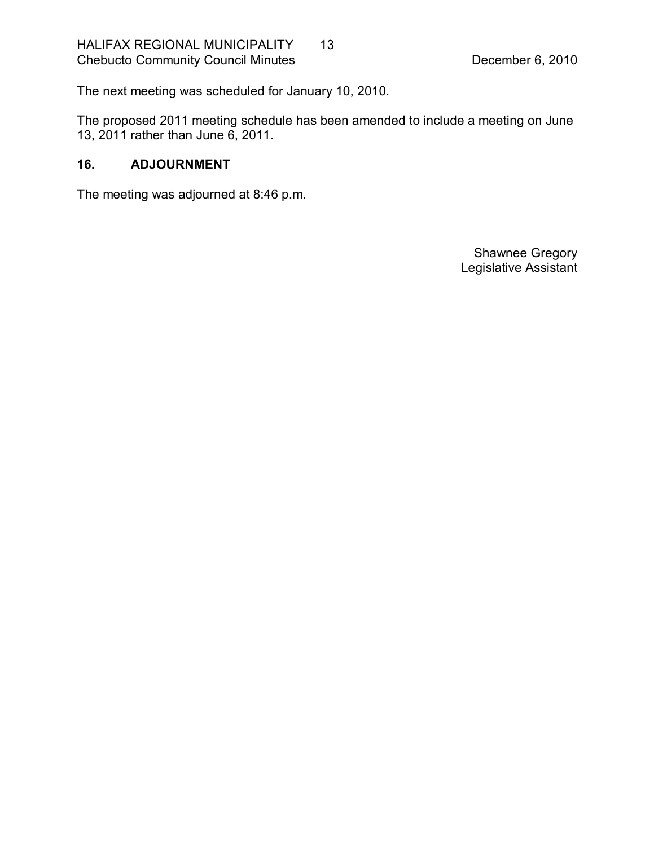The next meeting was scheduled for January 10, 2010.

The proposed 2011 meeting schedule has been amended to include a meeting on June 13, 2011 rather than June 6, 2011.

### <span id="page-12-0"></span>**16. ADJOURNMENT**

The meeting was adjourned at 8:46 p.m.

Shawnee Gregory Legislative Assistant